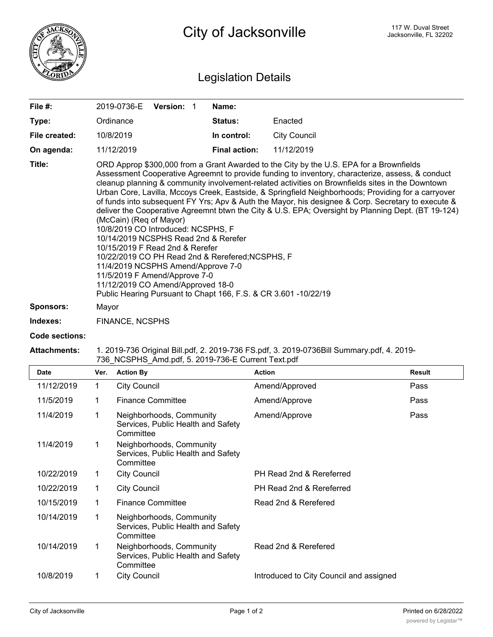

## Legislation Details

| File #:          | 2019-0736-E<br><b>Version:</b>                                                                                                                                                                                                                                                                                                                                                                                                                                                                                                                                                                                                                                                                                                                                                                                                                                                                                                                                                                    | Name:                |                     |  |  |
|------------------|---------------------------------------------------------------------------------------------------------------------------------------------------------------------------------------------------------------------------------------------------------------------------------------------------------------------------------------------------------------------------------------------------------------------------------------------------------------------------------------------------------------------------------------------------------------------------------------------------------------------------------------------------------------------------------------------------------------------------------------------------------------------------------------------------------------------------------------------------------------------------------------------------------------------------------------------------------------------------------------------------|----------------------|---------------------|--|--|
| Type:            | Ordinance                                                                                                                                                                                                                                                                                                                                                                                                                                                                                                                                                                                                                                                                                                                                                                                                                                                                                                                                                                                         | <b>Status:</b>       | Enacted             |  |  |
| File created:    | 10/8/2019                                                                                                                                                                                                                                                                                                                                                                                                                                                                                                                                                                                                                                                                                                                                                                                                                                                                                                                                                                                         | In control:          | <b>City Council</b> |  |  |
| On agenda:       | 11/12/2019                                                                                                                                                                                                                                                                                                                                                                                                                                                                                                                                                                                                                                                                                                                                                                                                                                                                                                                                                                                        | <b>Final action:</b> | 11/12/2019          |  |  |
| Title:           | ORD Approp \$300,000 from a Grant Awarded to the City by the U.S. EPA for a Brownfields<br>Assessment Cooperative Agreemnt to provide funding to inventory, characterize, assess, & conduct<br>cleanup planning & community involvement-related activities on Brownfields sites in the Downtown<br>Urban Core, Lavilla, Mccoys Creek, Eastside, & Springfield Neighborhoods; Providing for a carryover<br>of funds into subsequent FY Yrs; Apv & Auth the Mayor, his designee & Corp. Secretary to execute &<br>deliver the Cooperative Agreemnt btwn the City & U.S. EPA; Oversight by Planning Dept. (BT 19-124)<br>(McCain) (Req of Mayor)<br>10/8/2019 CO Introduced: NCSPHS, F<br>10/14/2019 NCSPHS Read 2nd & Rerefer<br>10/15/2019 F Read 2nd & Rerefer<br>10/22/2019 CO PH Read 2nd & Rerefered; NCSPHS, F<br>11/4/2019 NCSPHS Amend/Approve 7-0<br>11/5/2019 F Amend/Approve 7-0<br>11/12/2019 CO Amend/Approved 18-0<br>Public Hearing Pursuant to Chapt 166, F.S. & CR 3.601 -10/22/19 |                      |                     |  |  |
| <b>Sponsors:</b> | Mayor                                                                                                                                                                                                                                                                                                                                                                                                                                                                                                                                                                                                                                                                                                                                                                                                                                                                                                                                                                                             |                      |                     |  |  |
| Indexes:         | <b>FINANCE, NCSPHS</b>                                                                                                                                                                                                                                                                                                                                                                                                                                                                                                                                                                                                                                                                                                                                                                                                                                                                                                                                                                            |                      |                     |  |  |

## **Code sections:**

## **Attachments:** 1. 2019-736 Original Bill.pdf, 2. 2019-736 FS.pdf, 3. 2019-0736Bill Summary.pdf, 4. 2019- 736\_NCSPHS\_Amd.pdf, 5. 2019-736-E Current Text.pdf

| <b>Date</b> | Ver.         | <b>Action By</b>                                                            | <b>Action</b>                           | <b>Result</b> |
|-------------|--------------|-----------------------------------------------------------------------------|-----------------------------------------|---------------|
| 11/12/2019  | $\mathbf{1}$ | <b>City Council</b>                                                         | Amend/Approved                          | Pass          |
| 11/5/2019   | 1            | <b>Finance Committee</b>                                                    | Amend/Approve                           | Pass          |
| 11/4/2019   | 1            | Neighborhoods, Community<br>Services, Public Health and Safety<br>Committee | Amend/Approve                           | Pass          |
| 11/4/2019   | 1            | Neighborhoods, Community<br>Services, Public Health and Safety<br>Committee |                                         |               |
| 10/22/2019  | 1            | <b>City Council</b>                                                         | PH Read 2nd & Rereferred                |               |
| 10/22/2019  | $\mathbf 1$  | <b>City Council</b>                                                         | PH Read 2nd & Rereferred                |               |
| 10/15/2019  | 1            | <b>Finance Committee</b>                                                    | Read 2nd & Rerefered                    |               |
| 10/14/2019  | 1            | Neighborhoods, Community<br>Services, Public Health and Safety<br>Committee |                                         |               |
| 10/14/2019  | 1            | Neighborhoods, Community<br>Services, Public Health and Safety<br>Committee | Read 2nd & Rerefered                    |               |
| 10/8/2019   |              | <b>City Council</b>                                                         | Introduced to City Council and assigned |               |